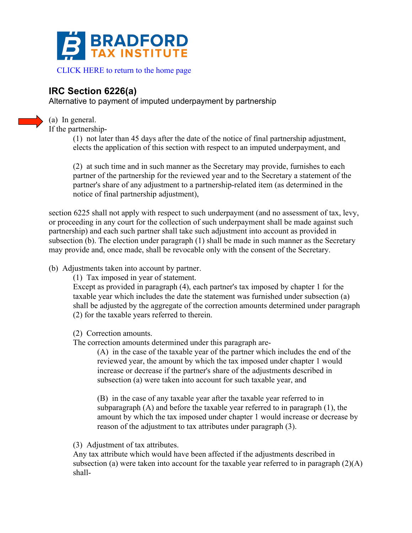

## **IRC Section 6226(a)**

Alternative to payment of imputed underpayment by partnership



If the partnership-

(a) In general.

(1) not later than 45 days after the date of the notice of final partnership adjustment, elects the application of this section with respect to an imputed underpayment, and

(2) at such time and in such manner as the Secretary may provide, furnishes to each partner of the partnership for the reviewed year and to the Secretary a statement of the partner's share of any adjustment to a partnership-related item (as determined in the notice of final partnership adjustment),

section 6225 shall not apply with respect to such underpayment (and no assessment of tax, levy, or proceeding in any court for the collection of such underpayment shall be made against such partnership) and each such partner shall take such adjustment into account as provided in subsection (b). The election under paragraph (1) shall be made in such manner as the Secretary may provide and, once made, shall be revocable only with the consent of the Secretary.

(b) Adjustments taken into account by partner.

(1) Tax imposed in year of statement.

Except as provided in paragraph (4), each partner's tax imposed by chapter 1 for the taxable year which includes the date the statement was furnished under subsection (a) shall be adjusted by the aggregate of the correction amounts determined under paragraph (2) for the taxable years referred to therein.

(2) Correction amounts.

The correction amounts determined under this paragraph are-

(A) in the case of the taxable year of the partner which includes the end of the reviewed year, the amount by which the tax imposed under chapter 1 would increase or decrease if the partner's share of the adjustments described in subsection (a) were taken into account for such taxable year, and

(B) in the case of any taxable year after the taxable year referred to in subparagraph (A) and before the taxable year referred to in paragraph (1), the amount by which the tax imposed under chapter 1 would increase or decrease by reason of the adjustment to tax attributes under paragraph (3).

(3) Adjustment of tax attributes.

Any tax attribute which would have been affected if the adjustments described in subsection (a) were taken into account for the taxable year referred to in paragraph  $(2)(A)$ shall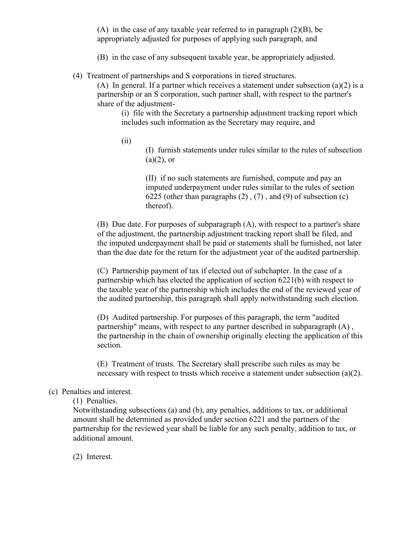(A) in the case of any taxable year referred to in paragraph (2)(B), be appropriately adjusted for purposes of applying such paragraph, and

- (B) in the case of any subsequent taxable year, be appropriately adjusted.
- (4) Treatment of partnerships and S corporations in tiered structures.

(A) In general. If a partner which receives a statement under subsection (a)(2) is a partnership or an S corporation, such partner shall, with respect to the partner's share of the adjustment-

(i) file with the Secretary a partnership adjustment tracking report which includes such information as the Secretary may require, and

(ii)

(I) furnish statements under rules similar to the rules of subsection  $(a)(2)$ , or

(II) if no such statements are furnished, compute and pay an imputed underpayment under rules similar to the rules of section 6225 (other than paragraphs (2) , (7) , and (9) of subsection (c) thereof).

(B) Due date. For purposes of subparagraph (A), with respect to a partner's share of the adjustment, the partnership adjustment tracking report shall be filed, and the imputed underpayment shall be paid or statements shall be furnished, not later than the due date for the return for the adjustment year of the audited partnership.

(C) Partnership payment of tax if elected out of subchapter. In the case of a partnership which has elected the application of section 6221(b) with respect to the taxable year of the partnership which includes the end of the reviewed year of the audited partnership, this paragraph shall apply notwithstanding such election.

(D) Audited partnership. For purposes of this paragraph, the term "audited partnership" means, with respect to any partner described in subparagraph (A) , the partnership in the chain of ownership originally electing the application of this section.

(E) Treatment of trusts. The Secretary shall prescribe such rules as may be necessary with respect to trusts which receive a statement under subsection (a)(2).

## (c) Penalties and interest.

(1) Penalties.

Notwithstanding subsections (a) and (b), any penalties, additions to tax, or additional amount shall be determined as provided under section 6221 and the partners of the partnership for the reviewed year shall be liable for any such penalty, addition to tax, or additional amount.

(2) Interest.